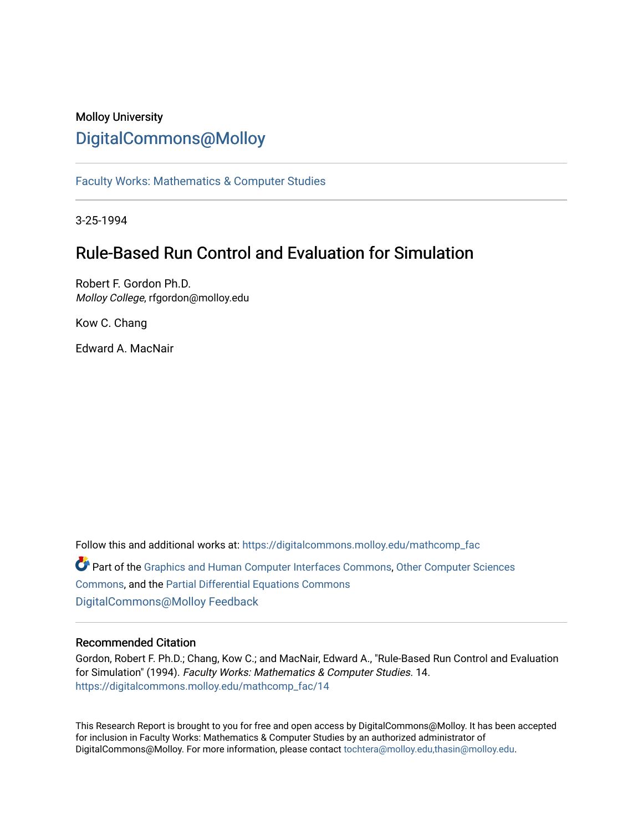## Molloy University [DigitalCommons@Molloy](https://digitalcommons.molloy.edu/)

[Faculty Works: Mathematics & Computer Studies](https://digitalcommons.molloy.edu/mathcomp_fac) 

3-25-1994

## Rule-Based Run Control and Evaluation for Simulation

Robert F. Gordon Ph.D. Molloy College, rfgordon@molloy.edu

Kow C. Chang

Edward A. MacNair

Follow this and additional works at: [https://digitalcommons.molloy.edu/mathcomp\\_fac](https://digitalcommons.molloy.edu/mathcomp_fac?utm_source=digitalcommons.molloy.edu%2Fmathcomp_fac%2F14&utm_medium=PDF&utm_campaign=PDFCoverPages) Part of the [Graphics and Human Computer Interfaces Commons,](https://network.bepress.com/hgg/discipline/146?utm_source=digitalcommons.molloy.edu%2Fmathcomp_fac%2F14&utm_medium=PDF&utm_campaign=PDFCoverPages) [Other Computer Sciences](https://network.bepress.com/hgg/discipline/152?utm_source=digitalcommons.molloy.edu%2Fmathcomp_fac%2F14&utm_medium=PDF&utm_campaign=PDFCoverPages)  [Commons](https://network.bepress.com/hgg/discipline/152?utm_source=digitalcommons.molloy.edu%2Fmathcomp_fac%2F14&utm_medium=PDF&utm_campaign=PDFCoverPages), and the [Partial Differential Equations Commons](https://network.bepress.com/hgg/discipline/120?utm_source=digitalcommons.molloy.edu%2Fmathcomp_fac%2F14&utm_medium=PDF&utm_campaign=PDFCoverPages)  [DigitalCommons@Molloy Feedback](https://molloy.libwizard.com/f/dcfeedback)

## Recommended Citation

Gordon, Robert F. Ph.D.; Chang, Kow C.; and MacNair, Edward A., "Rule-Based Run Control and Evaluation for Simulation" (1994). Faculty Works: Mathematics & Computer Studies. 14. [https://digitalcommons.molloy.edu/mathcomp\\_fac/14](https://digitalcommons.molloy.edu/mathcomp_fac/14?utm_source=digitalcommons.molloy.edu%2Fmathcomp_fac%2F14&utm_medium=PDF&utm_campaign=PDFCoverPages) 

This Research Report is brought to you for free and open access by DigitalCommons@Molloy. It has been accepted for inclusion in Faculty Works: Mathematics & Computer Studies by an authorized administrator of DigitalCommons@Molloy. For more information, please contact [tochtera@molloy.edu,thasin@molloy.edu.](mailto:tochtera@molloy.edu,thasin@molloy.edu)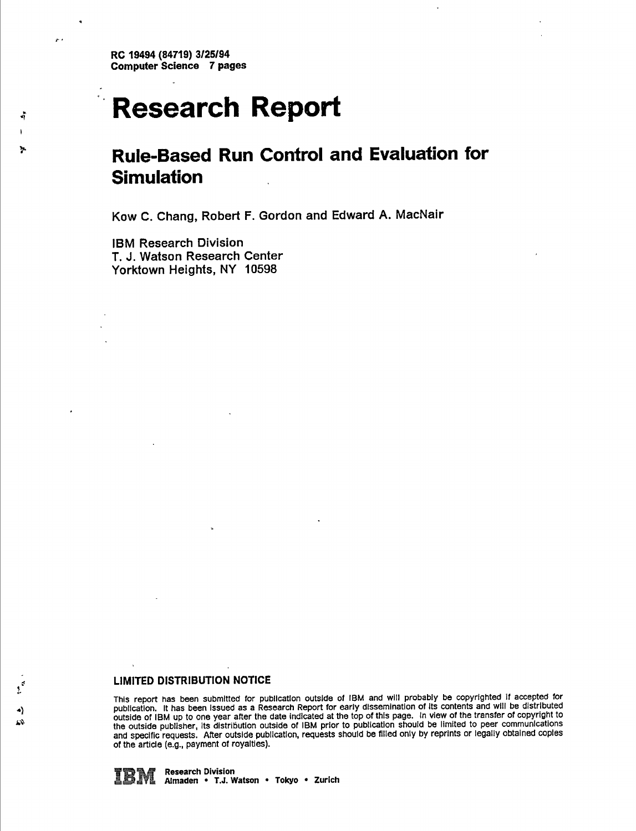**RC 19494 (84719) 3/25/94 Computer Science 7 pages**

د بر

# **Research Report**

## **Rule-Based Run Control and Evaluation for Simulation**

**Kow C. Chang, Robert F. Gordon and Edward A. MacNair**

**IBM Research Division T. J. Watson Research Center Yorktown Heights, NY 10598**

## **LIMITED DISTRIBUTION NOTICE**

This report has been submitted for publication outside of IBM and will probably be copyrighted if accepted for publication. It has been issued as a Research Report for early dissemination of its contents and will be distributed outside of IBM up to one year after the date indicated at the top of this page. In view of the transfer of copyright to the outside publisher, its distribution outside of IBM prior to publication should be limited to peer communications and specific requests. After outside publication, requests should be filled only by reprints or legally obtained coples **of the article (e.g., payment of royalties).**

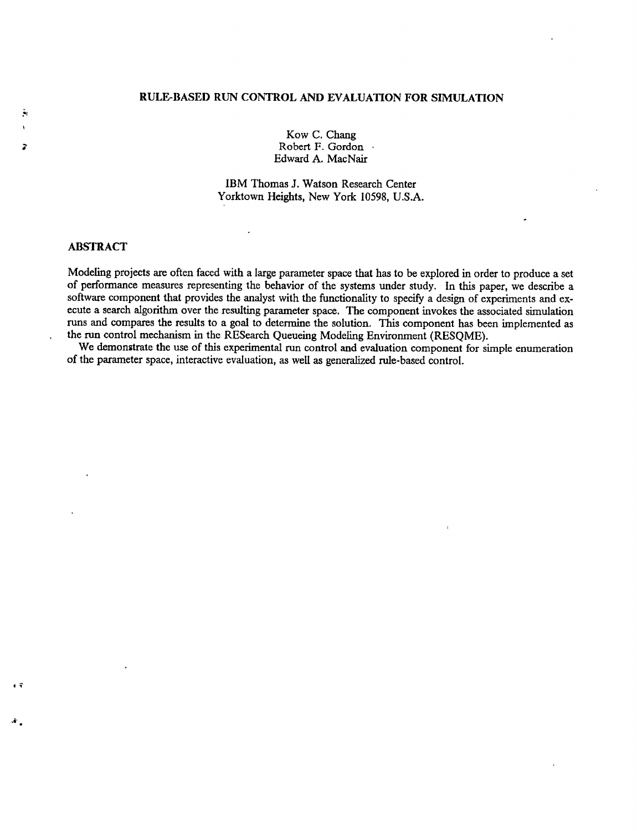## **RULE-BASED RUN CONTROL AND EVALUATION FOR SIMULATION**

Kow C. Chang Robert F. Gordon Edward A. MacNair

IBM Thomas J. Watson Research Center Yorktown Heights, New York 10598, U.S.A.

 $\overline{a}$ 

## **ABSTRACT**

្ន

 $\mathcal{N}$  .

Modeling projects are often faced with a large parameter space that has to be explored in order to produce a set of performance measures representing the behavior of the systems under study. In this paper, we describe a software component that provides the analyst with the functionality to specify a design of experiments and execute a search algorithm over the resulting parameter space. The component invokes the associated simulation runs and compares the results to a goal to determine the solution. This component has been implemented as the run control mechanism in the RESearch Queueing Modeling Environment (RESQME).

We demonstrate the use of this experimental run control and evaluation component for simple enumeration of the parameter space, interactive evaluation, as well as generalized rule-based control.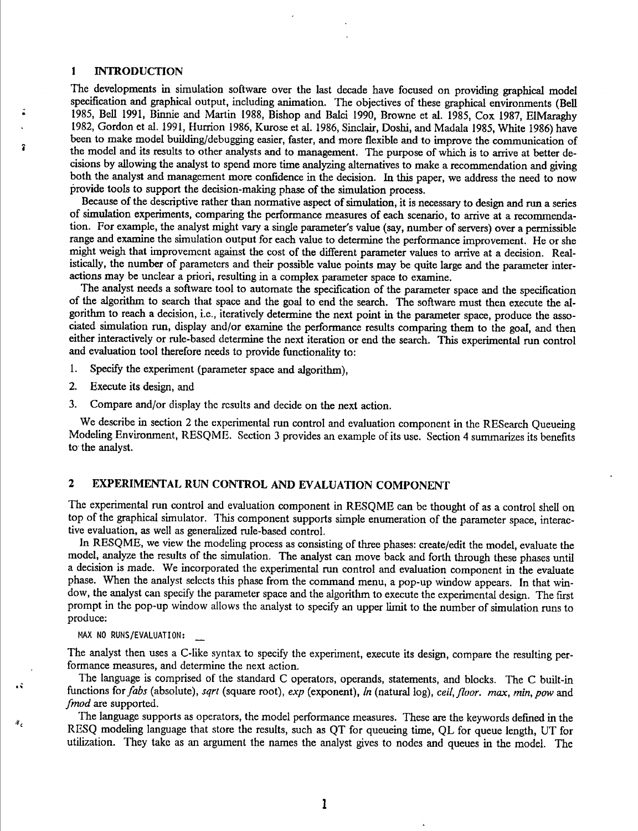## <sup>1</sup> INTRODUCTION

The developments in simulation software over the last decade have focused on providing graphical model specification and graphical output, including animation. The objectives of these graphical environments (Bell 1985, Bell 1991, Binnie and Martin 1988, Bishop and Baici 1990, Browne et al. 1985, Cox 1987, ElMaraghy 1982, Gordon et al. 1991, Hurrion 1986, Kurose et al. 1986, Sinclair, Doshi, and Madala 1985, White 1986) have been to make model building/debugging easier, faster, and more flexible and to improve the communication of the model and its results to other analysts and to management. The purpose of which is to arrive at better decisions by allowing the analyst to spend more time analyzing alternatives to make a recommendation and giving both the analyst and management more confidence in the decision. In this paper, we address the need to now provide tools to support the decision-making phase of the simulation process.

Because of the descriptive rather than normative aspect of simulation, it is necessary to design and run a series of simulation experiments, comparing the performance measures of each scenario, to arrive at a recommendation. For example, the analyst might vary a single parameter's value (say, number of servers) over a permissible range and examine the simulation output for each value to determine the performance improvement. He or she might weigh that improvement against the cost of the different parameter values to arrive at a decision. Realistically, the number of parameters and their possible value points may be quite large and the parameter interactions may be unclear a priori, resulting in a complex parameter space to examine.

The analyst needs a software tool to automate the specification of the parameter space and the specification of the algorithm to search that space and the goal to end the search. The software must then execute the algorithm to reach a decision, i.e., iteratively determine the next point in the parameter space, produce the associated simulation run, display and/or examine the performance results comparing them to the goal, and then either interactively or rule-based determine the next iteration or end the search. This experimental run control and evaluation tool therefore needs to provide functionality to:

- 1. Specify the experiment (parameter space and algorithm),
- 2. Execute its design, and
- 3. Compare and/or display the results and decide on the next action.

We describe in section 2 the experimental run control and evaluation component in the RESearch Queueing Modeling Environment, RESQME. Section 3 provides an example of its use. Section 4 summarizes its benefits to the analyst.

## 2 EXPERIMENTAL RUN CONTROL AND EVALUATION COMPONENT

The experimental run control and evaluation component in RESQME can be thought of as a control shell on top of the graphical simulator. This component supports simple enumeration of the parameter space, interactive evaluation, as well as generalized rule-based control.

In RESQME, we view the modeling process as consisting of three phases: create/edit the model, evaluate the model, analyze the results of the simulation. The analyst can move back and forth through these phases until a decision is made. We incorporated the experimental run control and evaluation component in the evaluate phase. When the analyst selects this phase from the command menu, a pop-up window appears. In that window, the analyst can specify the parameter space and the algorithm to execute the experimental design. The first prompt in the pop-up window allows the analyst to specify an upper limit to the number of simulation runs to produce:

**MAX NO RUNS/EVALUATION: \_**

49

Ϋ,

The analyst then uses a C-Iike syntax to specify the experiment, execute its design, compare the resulting performance measures, and determine the next action.

The language is comprised of the standard C operators, operands, statements, and blocks. The C built-in functions *iorfabs* (absolute), *sqrt* (square root), *exp* (exponent), *In* (natural log), *ceil,floor, max, min,pow* and *fmod* are supported.

'Fhe language supports as operators, the model performance measures. These are the keywords defined in the RESQ modeling language that store the results, such as QT for queueing time, QL for queue length, UT for utilization. They take as an argument the names the analyst gives to nodes and queues in the model. The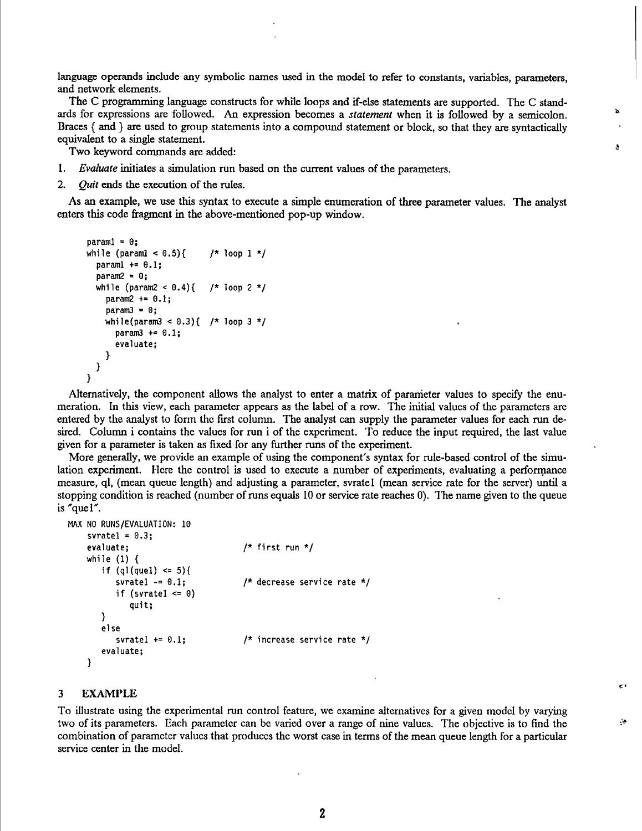language operands include any symbolic names used in the model to refer to constants, variables, parameters, and network elements.

The C programming language constructs for while loops and if-else statements are supported. The C standards for expressions are followed. An expression becomes a *statement* when it is followed by a semicolon. Braces { and } are used to group statements into a compound statement or block, so that they are syntactically equivalent to a single statement.

Two keyword commands are added:

- 1. *Evaluate* initiates a simulation run based on the current values of the parameters.
- 2. *Quit* ends the execution of the rules.

As an example, we use this syntax to execute a simple enumeration of three parameter values. The analyst enters this code fragment in the above-mentioned pop-up window.

```
param1 = 0:
while (paraml < 0.5){ /* loop 1 */
  paraml += 0.1;param2 = 0;
  while (param2 < 0.4){ /* loop 2 */
    param2 += 0.1;
    param3 = 0:
    while(param3 < 0.3){ /* loop 3 */
     param3 += 0.1;
      evaluate;
   }
 }
}
```
Alternatively, the component allows the analyst to enter a matrix of parameter values to specify the enumeration. In this view, each parameter appears as the label of a row. The initial values of the parameters are entered by the analyst to form the first column. The analyst can supply the parameter values for each run desired. Column i contains the values for run i of the experiment. To reduce the input required, the last value given for a parameter is taken as fixed for any further runs of the experiment.

More generally, we provide an example of using the component's syntax for mle-based control of the simulation experiment. Here the control is used to execute a number of experiments, evaluating a performance measure, ql, (mean queue length) and adjusting a parameter, svratel (mean service rate for the server) until a stopping condition is reached (number of runs equals 10 or service rate reaches 0). The name given to the queue is "quel".

```
MAX NO RUNS/EVALUATION: 10
    svratel = 0.3;<br>evaluate;
                                              /* first run */
    while (1) {
        if (q)(quel) \leq 5){<br>svratel -= 0.1;
                                              /* decrease service rate */
            if (svratel \leq 0)
                quit;
        }
        else<br>svratel += 0.1;
                                              /* increase service rate */
        evaluate;
    }
```
## **3 EXAMPLE**

To illustrate using the experimental run control feature, we examine alternatives for a given model by varying two of its parameters. Each parameter can be varied over a range of nine values. The objective is to find the combination of parameter values that produces the worst case in terms of the mean queue length for a particular service center in the model.

 $\mathcal{L}(\mathfrak{g})$ 

•e\*

*i*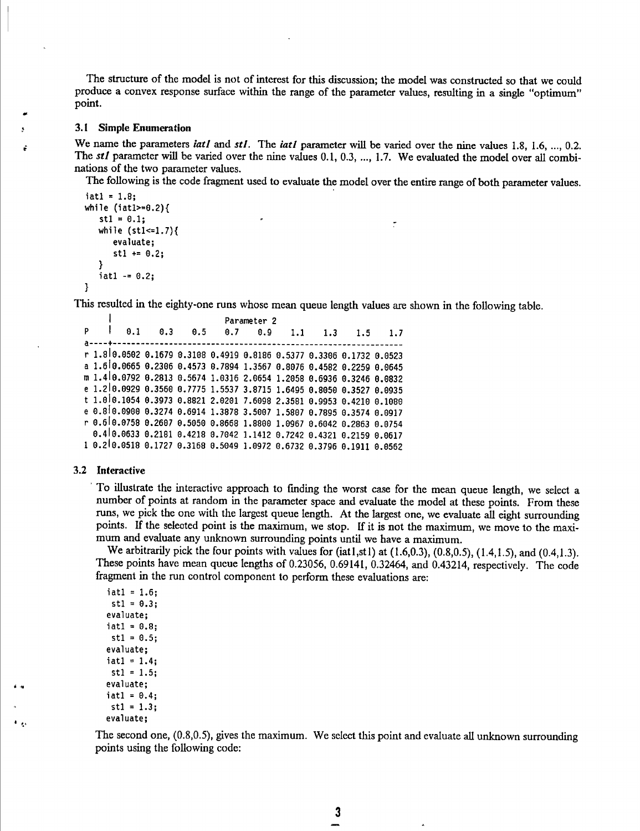The structure of the model is not of interest for this discussion; the model was constmcted so that we could produce a convex response surface within the range of the parameter values, resulting in a single "optimum" point.

## **3.1 Simple Enumeration**

We name the parameters *iatl* and *stl*. The *iatl* parameter will be varied over the nine values 1.8, 1.6, ..., 0.2. The *stl* parameter will be varied over the nine values 0.1, 0.3, ..., 1.7. We evaluated the model over all combinations of the two parameter values.

The following is the code fragment used to evaluate the model over the entire range of both parameter values.

```
iat1 = 1.8;
while (iatl>=0.2){
   st1 = 0.1:
   while (stl<=1.7){
      evaluate;
      st1 += 0.2;
   }
   iat1 - = 0.2;}
```
This resulted in the eighty-one runs whose mean queue length values are shown in the following table.

```
Parameter 2<br>0.1 0.3 0.5 0.7 0.9
P I 0.1 0.3 0.5 0.7 0.9 1.1 1.3 1.5 1.7
a-----+...................................-..............................-............................................. -
r 1.810.0502 0.1679 0.3108 0.4919 0.8186 0.5377 0.3306 0.1732 0.0523
a 1.6Í0.0665 0.2306 0.4573 0.7894 1.3567 0.8076 0.4582 0.2259 0.0645
m I.4I0.0792 0.2813 0.5674 1.0316 2.0654 1.2058 0.6936 0.3246 0.0832
e I.2I0.0929 0.3560 0.7775 1.5537 3.8715 1.6495 0.8050 0.3527 0.0935
t I.0I0.I054 0.3973 0.8821 2.0201 7.6098 2.3581 0.9953 0.4210 0.1080
e 0.8I0.0900 0.3274 0.6914 1.3878 3.5007 1.5807 0.7895 0.3574 0.0917
r 0.610.0758 0.2607 0.5050 0.8668 1.8800 1.0967 0.6042 0.2863 0.0754
  0.4I0.0633 0.2181 0.4218 0.7042 1.1412 0.7242 0.4321 0.2159 0.0617
1 0.2I0.05I8 0.1727 0.3168 0.5049 1.0972 0.6732 0.3796 0.1911 0.0562
```
#### **3.2 Interactive**

To illustrate the interactive approach to finding the worst case for the mean queue length, we select a number of points at random in the parameter space and evaluate the model at these points. From these runs, we pick the one with the largest queue length. At the largest one, we evaluate all eight surrounding points. If the selected point is the maximum, we stop. If it is not the maximum, we move to the maximum and evaluate any unknown surrounding points until we have a maximum.

We arbitrarily pick the four points with values for  $(iat1,st1)$  at  $(1.6,0.3)$ ,  $(0.8,0.5)$ ,  $(1.4,1.5)$ , and  $(0.4,1.3)$ . These points have mean queue lengths of 0.23056, 0.69141, 0.32464, and 0.43214, respectively. The code fragment in the run control component to perform these evaluations are:

 $iat1 = 1.6;$  $st1 = 0.3$ ; evaluate;  $iat1 = 0.8;$  $st1 = 0.5$ ; evaluate;  $iat1 = 1.4;$  $st1 = 1.5;$ evaluate;  $iat1 = 0.4;$  $st1 = 1.3$ ; evaluate;

The second one, (0.8,0.5), gives the maximum. We select this point and evaluate all unknown surrounding points using the following code: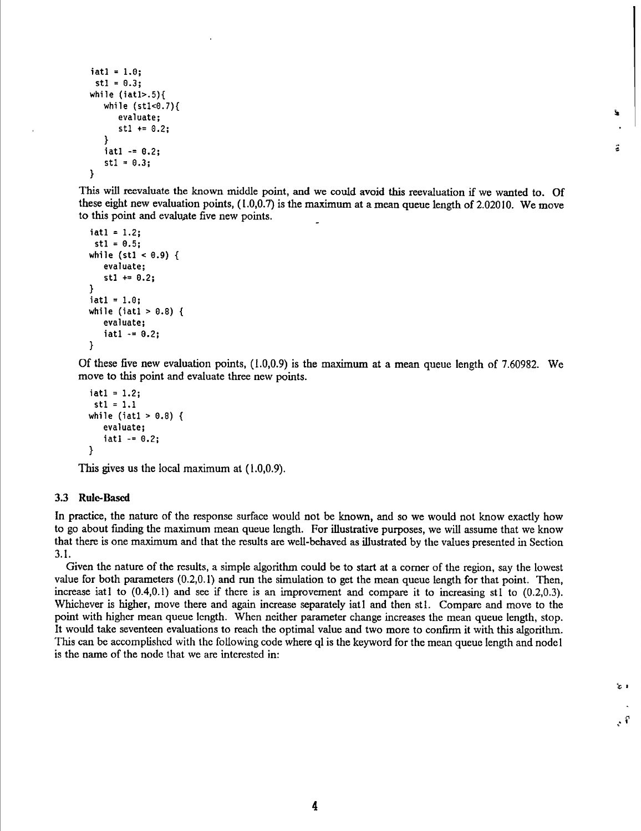```
iat1 = 1.0;st1 = 0.3;
while (1atl>.5){
   while (stl<0.7){
      evaluate;
      st1 += 0.2;}
   iat1 - = 0.2;st1 = 0.3;}
```
This will reevaluate the known middle point, and we could avoid this reevaluation if we wanted to. Of these eight new evaluation points, ( 1.0,0.7) is the maximum at a mean queue length of 2.02010. We move to this point and evaluate five new points.

۱.

ă

出す

 $\mathcal{E}$ 

```
iati = 1.2;
 st1 = 0.5;while (st1 < 0.9) {
   evaluate;
   stl += 0.2;
}
iat1 = 1.0;while (iatl > 0.8) {
   evaluate;
   iat1 - = 0.2;
}
```
Of these five new evaluation points, (1.0,0.9) is the maximum at a mean queue length of 7.60982. We move to this point and evaluate three new points.

```
iat1 = 1.2;
 st1 = 1.1while (iatl > 0.8) {
   evaluate;
   iat1 - = 0.2;
}
```
This gives us the local maximum at (1.0,0.9).

### **3.3 Rule-Based**

In practice, the nature of the response surface would not be known, and so we would not know exactly how to go about finding the maximum mean queue length. For illustrative purposes, we will assume that we know that there is one maximum and that the results are well-behaved as illustrated by the values presented in Section 3.1.

Given the nature of the results, a simple algorithm could be to start at a comer of the region, say the lowest value for both parameters (0.2,0.1) and run the simulation to get the mean queue length for that point. Then, increase iati to (0.4,0.1) and see if there is an improvement and compare it to increasing stl to (0.2,0.3). Whichever is higher, move there and again increase separately iat and then stl. Compare and move to the point with higher mean queue length. When neither parameter change increases the mean queue length, stop. It would take seventeen evaluations to reach the optimal value and two more to confirm it with this algorithm. This can be accomplished with the following code where ql is the keyword for the mean queue length and nodel is the name of the node that we are interested in: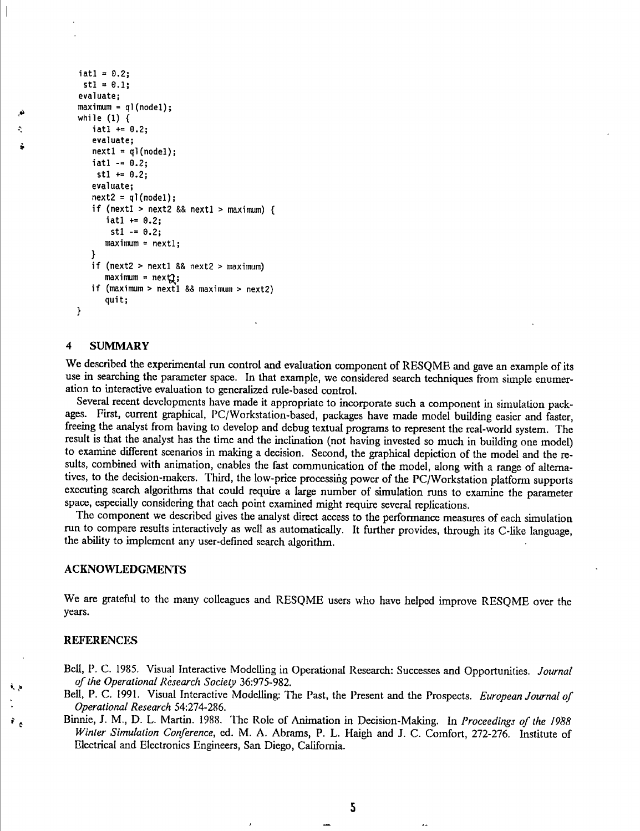```
iat1 = 0.2;st1 = 0.1;
evaluate;
maximum = q](node1);
while (1) {
   iat1 += 0.2;evaluate;
   next1 = q!(node1);iatl - = 0.2;
    st1 += 0.2;evaluate;
   next2 = q!(node1);if (nextl > next2 && nextl > maximum) {
      iat1 += 0.2;stl -= 0.2;
     maximum = next1;}
   if (next2 > nextl && next2 > maximum)
     maximum = next2;if (maximum > nextl && maximum > next2)
     quit;
ł
```
## **4 SUMMARY**

奕

We described the experimental run control and evaluation component of RESQME and gave an example of its use in searching the parameter space. In that example, we considered search techniques from simple enumeration to interactive evaluation to generalized rule-based control.

Several recent developments have made it appropriate to incorporate such a component in simulation packages. First, current graphical, PC/Workstation-based, packages have made model building easier and faster, freeing the analyst from having to develop and debug textual programs to represent the real-world system. The result is that the analyst has the time and the inclination (not having invested so much in building one model) to examine different scenarios in making a decision. Second, the graphical depiction of the model and the results, combined with animation, enables the fast communication of the model, along with a range of alternatives, to the decision-makers. Third, the low-price processing power of the PC/Workstation platform supports executing search algorithms that could require a large number of simulation runs to examine the parameter space, especially considering that each point examined might require several replications.

The component we described gives the analyst direct access to the performance measures of each simulation run to compare results interactively as well as automatically. It further provides, through its C-like language, the abihty to implement any user-defined search algorithm.

## **ACKNOWLEDGMENTS**

We are grateful to the many colleagues and RESQME users who have helped improve RESQME over the years.

### **REFERENCES**

ĩ,

 $\ddot{\mathbf{r}}_{\mathbf{c}}$ 

BeU, P. C. 1985. Visual Interactive Modelling in Operational Research: Successes and Opportunities. *Journal ofthe Operational Research Society* 36:975-982.

- Bell, P. C. 1991. Visual Interactive Modelling: The Past, the Present and the Prospects. *European Journal of Operational Research* 54:274-286.
- Binnie, J. M., D. L. Martin. 1988. The Role of Animation in Decision-Making. In *Proceedings of the 1988 Winter Simulation Conference,* ed. M. A. Abrams, P. L. Haigli and J. C. Comfort, 272-276. Institute of Electrical and Electronics Engineers, San Diego, California.

5

 $\overline{1}$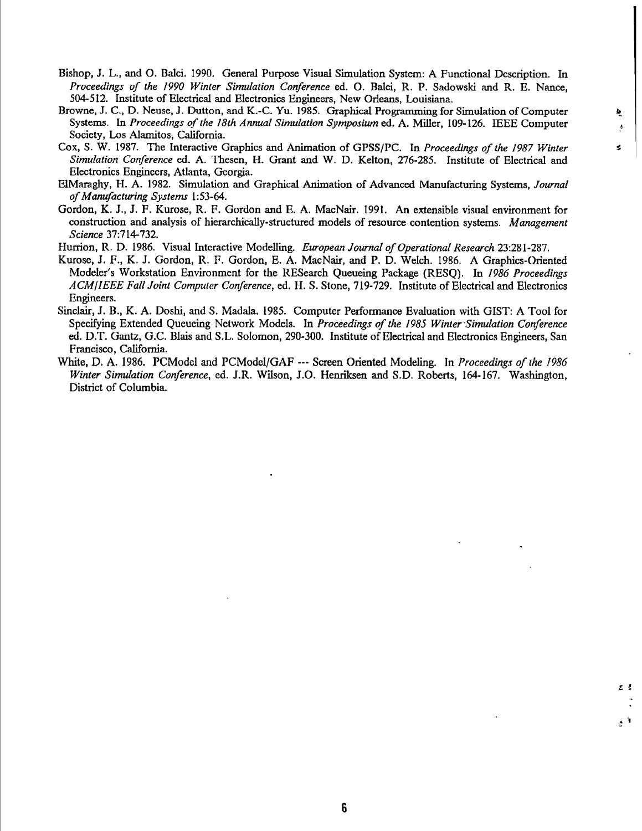ķ,

£ <sup>S</sup>

ا ج

- Bishop, J. L., and O. Balci. 1990. General Purpose Visual Simulation System: A Functional Description. In *Proceedings of the 1990 Winter Simulation Conference* ed. O. Balci, R. P. Sadowski and R. E. Nance, 504-512. Institute of Electrical and Electronics Engineers, New Orleans, Louisiana.
- Browne, J. C., D. Neuse, J. Dutton, and K.-C. Yu. 1985. Graphical Programming for Simulation of Computer *k.* Systems. In Proceedings of the 18th Annual Simulation Symposium ed. A. Miller, 109-126. IEEE Computer Society, Los Alamitos, California.
- Cox, S. W. 1987. The Interactive Graphics and Animation of GPSS/PC. In *Proceedings ofthe ¡987 Winter ^ Simulation Conference* ed. A. Thesen, H. Grant and W. D. Kelton, 276-285. Institute of Electrical and Electronics Engineers, Atlanta, Georgia.
- ElMaraghy, H. A. 1982. Simulation and Graphical Animation of Advanced Manufacturing Systems, *Journal ofManufacturing Systems* 1:53-64.
- Gordon, K. J., J. F. Kurose, R. F. Gordon and E. A. MacNair. 1991. An extensible visual environment for construction and analysis of hierarchically-structured models of resource contention systems. *Management Science* 37:714-732.
- Hurrion, R. D. 1986. Visual Interactive Modelling. *European Journal ofOperational Research* 23:281-287.
- Kurose, J. F., K. J. Gordon, R. F. Gordon, E. A. MacNair, and P. D. Welch. 1986. A Graphics-Oriented Modeler's Workstation Environment for the RESearch Queueing Package (RESQ). In *¡986 Proceedings ACMjlEEE Fall Joint Computer Conference,* ed. H. S. Stone, 719-729. Institute of Electrical and Electronics Engineers.
- Sinclair, J. B., K. A. Doshi, and S. Madala. 1985. Computer Performance Evaluation with GIST: A Tool for Specifying Extended Queueing Network Models. In *Proceedings ofthe 1985 Winter Simulation Conference* ed. D.T. Gantz, G.C. Blais and S.L. Solomon, 290-300. Institute of Electrical and Electronics Engineers, San Francisco, California.
- White, D. A. 1986. PCModel and PCModel/GAF Screen Oriented Modeling. In *Proceedings of the ¡986 Winter Simulation Conference,* ed. J.R. Wilson, J.O. Henriksen and S.D. Roberts, 164-167. Washington, District of Columbia.